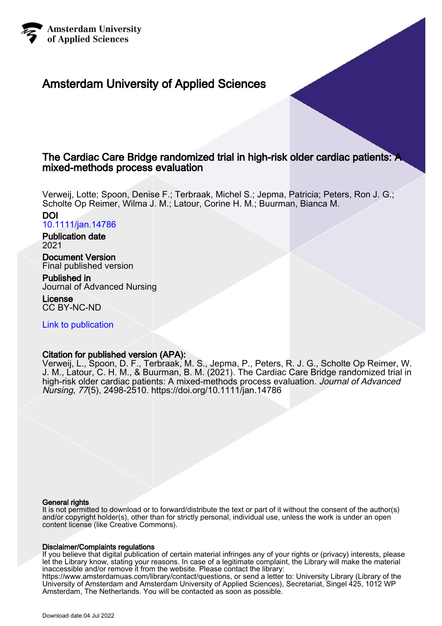

## Amsterdam University of Applied Sciences

## The Cardiac Care Bridge randomized trial in high-risk older cardiac patients: A mixed-methods process evaluation

Verweij, Lotte; Spoon, Denise F.; Terbraak, Michel S.; Jepma, Patricia; Peters, Ron J. G.; Scholte Op Reimer, Wilma J. M.; Latour, Corine H. M.; Buurman, Bianca M.

DOI [10.1111/jan.14786](https://doi.org/10.1111/jan.14786)

Publication date 2021

Document Version Final published version

Published in Journal of Advanced Nursing

**License** CC BY-NC-ND

[Link to publication](https://research.hva.nl/en/publications/1d765b85-189a-4534-9d50-e21dadf60849)

## Citation for published version (APA):

Verweij, L., Spoon, D. F., Terbraak, M. S., Jepma, P., Peters, R. J. G., Scholte Op Reimer, W. J. M., Latour, C. H. M., & Buurman, B. M. (2021). The Cardiac Care Bridge randomized trial in high-risk older cardiac patients: A mixed-methods process evaluation. Journal of Advanced Nursing, 77(5), 2498-2510. <https://doi.org/10.1111/jan.14786>

## General rights

It is not permitted to download or to forward/distribute the text or part of it without the consent of the author(s) and/or copyright holder(s), other than for strictly personal, individual use, unless the work is under an open content license (like Creative Commons).

## Disclaimer/Complaints regulations

If you believe that digital publication of certain material infringes any of your rights or (privacy) interests, please let the Library know, stating your reasons. In case of a legitimate complaint, the Library will make the material inaccessible and/or remove it from the website. Please contact the library: https://www.amsterdamuas.com/library/contact/questions, or send a letter to: University Library (Library of the University of Amsterdam and Amsterdam University of Applied Sciences), Secretariat, Singel 425, 1012 WP Amsterdam, The Netherlands. You will be contacted as soon as possible.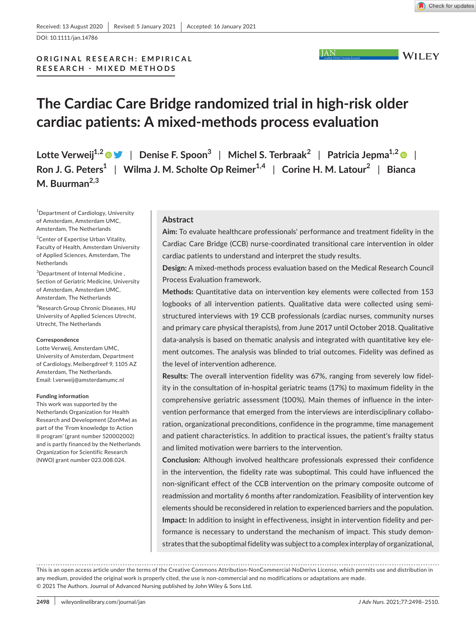**WILEY** 

DOI: 10.1111/jan.14786

**ORIGINAL RESEARCH: EMPIRICAL RESEARCH - MIXED METHODS**

# **The Cardiac Care Bridge randomized trial in high-risk older cardiac patients: A mixed-methods process evaluation**

**Lotte Verweij1,2** | **Denise F. Spoon<sup>3</sup>** | **Michel S. Terbraak<sup>2</sup>** | **Patricia Jepma1,2** | **Ron J. G. Peters<sup>1</sup>** | **Wilma J. M. Scholte Op Reimer1,4** | **Corine H. M. Latour<sup>2</sup>** | **Bianca M. Buurman2,3**

<sup>1</sup>Department of Cardiology, University of Amsterdam, Amsterdam UMC, Amsterdam, The Netherlands

<sup>2</sup> Center of Expertise Urban Vitality, Faculty of Health, Amsterdam University of Applied Sciences, Amsterdam, The **Netherlands** 

<sup>3</sup>Department of Internal Medicine, Section of Geriatric Medicine, University of Amsterdam, Amsterdam UMC, Amsterdam, The Netherlands

4 Research Group Chronic Diseases, HU University of Applied Sciences Utrecht, Utrecht, The Netherlands

#### **Correspondence**

Lotte Verweij, Amsterdam UMC, University of Amsterdam, Department of Cardiology, Meibergdreef 9, 1105 AZ Amsterdam, The Netherlands. Email: [l.verweij@amsterdamumc.nl](mailto:l.verweij@amsterdamumc.nl)

#### **Funding information**

This work was supported by the Netherlands Organization for Health Research and Development (ZonMw) as part of the 'From knowledge to Action II program' (grant number 520002002) and is partly financed by the Netherlands Organization for Scientific Research (NWO) grant number 023.008.024.

#### **Abstract**

**Aim:** To evaluate healthcare professionals' performance and treatment fidelity in the Cardiac Care Bridge (CCB) nurse-coordinated transitional care intervention in older cardiac patients to understand and interpret the study results.

**JAN** 

**Design:** A mixed-methods process evaluation based on the Medical Research Council Process Evaluation framework.

**Methods:** Quantitative data on intervention key elements were collected from 153 logbooks of all intervention patients. Qualitative data were collected using semistructured interviews with 19 CCB professionals (cardiac nurses, community nurses and primary care physical therapists), from June 2017 until October 2018. Qualitative data-analysis is based on thematic analysis and integrated with quantitative key element outcomes. The analysis was blinded to trial outcomes. Fidelity was defined as the level of intervention adherence.

**Results:** The overall intervention fidelity was 67%, ranging from severely low fidelity in the consultation of in-hospital geriatric teams (17%) to maximum fidelity in the comprehensive geriatric assessment (100%). Main themes of influence in the intervention performance that emerged from the interviews are interdisciplinary collaboration, organizational preconditions, confidence in the programme, time management and patient characteristics. In addition to practical issues, the patient's frailty status and limited motivation were barriers to the intervention.

**Conclusion:** Although involved healthcare professionals expressed their confidence in the intervention, the fidelity rate was suboptimal. This could have influenced the non-significant effect of the CCB intervention on the primary composite outcome of readmission and mortality 6 months after randomization. Feasibility of intervention key elements should be reconsidered in relation to experienced barriers and the population. **Impact:** In addition to insight in effectiveness, insight in intervention fidelity and performance is necessary to understand the mechanism of impact. This study demonstrates that the suboptimal fidelity was subject to a complex interplay of organizational,

This is an open access article under the terms of the [Creative Commons Attribution-NonCommercial-NoDerivs](http://creativecommons.org/licenses/by-nc-nd/4.0/) License, which permits use and distribution in any medium, provided the original work is properly cited, the use is non-commercial and no modifications or adaptations are made. © 2021 The Authors. Journal of Advanced Nursing published by John Wiley & Sons Ltd.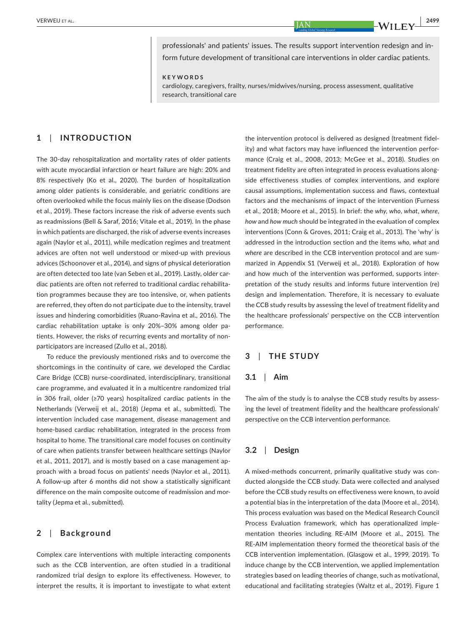professionals' and patients' issues. The results support intervention redesign and inform future development of transitional care interventions in older cardiac patients.

**KEYWORDS**

cardiology, caregivers, frailty, nurses/midwives/nursing, process assessment, qualitative research, transitional care

## **1**  | **INTRODUCTION**

The 30-day rehospitalization and mortality rates of older patients with acute myocardial infarction or heart failure are high: 20% and 8% respectively (Ko et al., 2020). The burden of hospitalization among older patients is considerable, and geriatric conditions are often overlooked while the focus mainly lies on the disease (Dodson et al., 2019). These factors increase the risk of adverse events such as readmissions (Bell & Saraf, 2016; Vitale et al., 2019). In the phase in which patients are discharged, the risk of adverse events increases again (Naylor et al., 2011), while medication regimes and treatment advices are often not well understood or mixed-up with previous advices (Schoonover et al., 2014), and signs of physical deterioration are often detected too late (van Seben et al., 2019). Lastly, older cardiac patients are often not referred to traditional cardiac rehabilitation programmes because they are too intensive, or, when patients are referred, they often do not participate due to the intensity, travel issues and hindering comorbidities (Ruano-Ravina et al., 2016). The cardiac rehabilitation uptake is only 20%–30% among older patients. However, the risks of recurring events and mortality of nonparticipators are increased (Zullo et al., 2018).

To reduce the previously mentioned risks and to overcome the shortcomings in the continuity of care, we developed the Cardiac Care Bridge (CCB) nurse-coordinated, interdisciplinary, transitional care programme, and evaluated it in a multicentre randomized trial in 306 frail, older (≥70 years) hospitalized cardiac patients in the Netherlands (Verweij et al., 2018) (Jepma et al., submitted). The intervention included case management, disease management and home-based cardiac rehabilitation, integrated in the process from hospital to home. The transitional care model focuses on continuity of care when patients transfer between healthcare settings (Naylor et al., 2011, 2017), and is mostly based on a case management approach with a broad focus on patients' needs (Naylor et al., 2011). A follow-up after 6 months did not show a statistically significant difference on the main composite outcome of readmission and mortality (Jepma et al., submitted).

## **2**  | **Background**

Complex care interventions with multiple interacting components such as the CCB intervention, are often studied in a traditional randomized trial design to explore its effectiveness. However, to interpret the results, it is important to investigate to what extent

the intervention protocol is delivered as designed (treatment fidelity) and what factors may have influenced the intervention performance (Craig et al., 2008, 2013; McGee et al., 2018). Studies on treatment fidelity are often integrated in process evaluations alongside effectiveness studies of complex interventions, and explore causal assumptions, implementation success and flaws, contextual factors and the mechanisms of impact of the intervention (Furness et al., 2018; Moore et al., 2015). In brief: the *why*, *who*, *what*, *where*, *how* and *how much* should be integrated in the evaluation of complex interventions (Conn & Groves, 2011; Craig et al., 2013). The 'why' is addressed in the introduction section and the items *who*, *what* and *where* are described in the CCB intervention protocol and are summarized in Appendix S1 (Verweij et al., 2018). Exploration of how and how much of the intervention was performed, supports interpretation of the study results and informs future intervention (re) design and implementation. Therefore, it is necessary to evaluate the CCB study results by assessing the level of treatment fidelity and the healthcare professionals' perspective on the CCB intervention performance.

## **3**  | **THE STUDY**

#### **3.1**  | **Aim**

The aim of the study is to analyse the CCB study results by assessing the level of treatment fidelity and the healthcare professionals' perspective on the CCB intervention performance.

#### **3.2**  | **Design**

A mixed-methods concurrent, primarily qualitative study was conducted alongside the CCB study. Data were collected and analysed before the CCB study results on effectiveness were known, to avoid a potential bias in the interpretation of the data (Moore et al., 2014). This process evaluation was based on the Medical Research Council Process Evaluation framework, which has operationalized implementation theories including RE-AIM (Moore et al., 2015). The RE-AIM implementation theory formed the theoretical basis of the CCB intervention implementation. (Glasgow et al., 1999, 2019). To induce change by the CCB intervention, we applied implementation strategies based on leading theories of change, such as motivational, educational and facilitating strategies (Waltz et al., 2019). Figure 1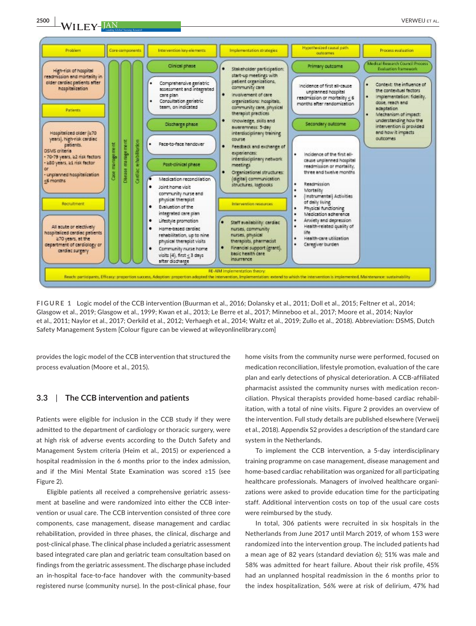**2500 WILEY-JAN CERWEIJ ET AL.** 



**FIGURE 1** Logic model of the CCB intervention (Buurman et al., 2016; Dolansky et al., 2011; Doll et al., 2015; Feltner et al., 2014; Glasgow et al., 2019; Glasgow et al., 1999; Kwan et al., 2013; Le Berre et al., 2017; Minneboo et al., 2017; Moore et al., 2014; Naylor et al., 2011; Naylor et al., 2017; Oerkild et al., 2012; Verhaegh et al., 2014; Waltz et al., 2019; Zullo et al., 2018). Abbreviation: DSMS, Dutch Safety Management System [Colour figure can be viewed at [wileyonlinelibrary.com\]](www.wileyonlinelibrary.com)

provides the logic model of the CCB intervention that structured the process evaluation (Moore et al., 2015).

#### **3.3**  | **The CCB intervention and patients**

Patients were eligible for inclusion in the CCB study if they were admitted to the department of cardiology or thoracic surgery, were at high risk of adverse events according to the Dutch Safety and Management System criteria (Heim et al., 2015) or experienced a hospital readmission in the 6 months prior to the index admission, and if the Mini Mental State Examination was scored ≥15 (see Figure 2).

Eligible patients all received a comprehensive geriatric assessment at baseline and were randomized into either the CCB intervention or usual care. The CCB intervention consisted of three core components, case management, disease management and cardiac rehabilitation, provided in three phases, the clinical, discharge and post-clinical phase. The clinical phase included a geriatric assessment based integrated care plan and geriatric team consultation based on findings from the geriatric assessment. The discharge phase included an in-hospital face-to-face handover with the community-based registered nurse (community nurse). In the post-clinical phase, four home visits from the community nurse were performed, focused on medication reconciliation, lifestyle promotion, evaluation of the care plan and early detections of physical deterioration. A CCB-affiliated pharmacist assisted the community nurses with medication reconciliation. Physical therapists provided home-based cardiac rehabilitation, with a total of nine visits. Figure 2 provides an overview of the intervention. Full study details are published elsewhere (Verweij et al., 2018). Appendix S2 provides a description of the standard care system in the Netherlands.

To implement the CCB intervention, a 5-day interdisciplinary training programme on case management, disease management and home-based cardiac rehabilitation was organized for all participating healthcare professionals. Managers of involved healthcare organizations were asked to provide education time for the participating staff. Additional intervention costs on top of the usual care costs were reimbursed by the study.

In total, 306 patients were recruited in six hospitals in the Netherlands from June 2017 until March 2019, of whom 153 were randomized into the intervention group. The included patients had a mean age of 82 years (standard deviation 6); 51% was male and 58% was admitted for heart failure. About their risk profile, 45% had an unplanned hospital readmission in the 6 months prior to the index hospitalization, 56% were at risk of delirium, 47% had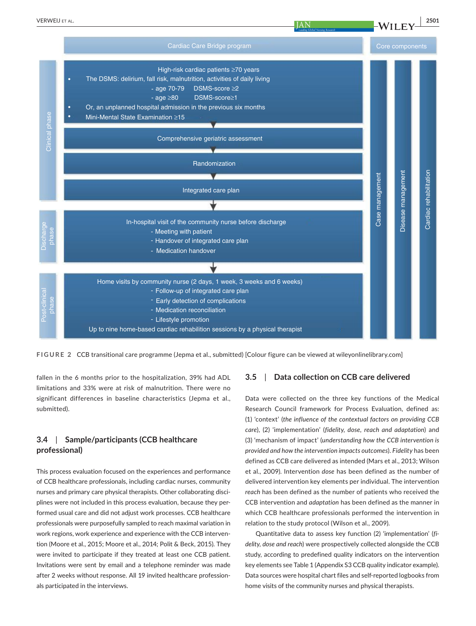

**FIGURE 2** CCB transitional care programme (Jepma et al., submitted) [Colour figure can be viewed at [wileyonlinelibrary.com\]](www.wileyonlinelibrary.com)

fallen in the 6 months prior to the hospitalization, 39% had ADL limitations and 33% were at risk of malnutrition. There were no significant differences in baseline characteristics (Jepma et al., submitted).

## **3.4**  | **Sample/participants (CCB healthcare professional)**

This process evaluation focused on the experiences and performance of CCB healthcare professionals, including cardiac nurses, community nurses and primary care physical therapists. Other collaborating disciplines were not included in this process evaluation, because they performed usual care and did not adjust work processes. CCB healthcare professionals were purposefully sampled to reach maximal variation in work regions, work experience and experience with the CCB intervention (Moore et al., 2015; Moore et al., 2014; Polit & Beck, 2015). They were invited to participate if they treated at least one CCB patient. Invitations were sent by email and a telephone reminder was made after 2 weeks without response. All 19 invited healthcare professionals participated in the interviews.

## **3.5**  | **Data collection on CCB care delivered**

Data were collected on the three key functions of the Medical Research Council framework for Process Evaluation, defined as: (1) 'context' (*the influence of the contextual factors on providing CCB care*), (2) 'implementation' (*fidelity, dose, reach and adaptation*) and (3) 'mechanism of impact' (*understanding how the CCB intervention is provided and how the intervention impacts outcomes*). *Fidelity* has been defined as CCB care delivered as intended (Mars et al., 2013; Wilson et al., 2009). Intervention *dose* has been defined as the number of delivered intervention key elements per individual. The intervention *reach* has been defined as the number of patients who received the CCB intervention and *adaptation* has been defined as the manner in which CCB healthcare professionals performed the intervention in relation to the study protocol (Wilson et al., 2009).

Quantitative data to assess key function (2) 'implementation' (*fidelity, dose and reach*) were prospectively collected alongside the CCB study, according to predefined quality indicators on the intervention key elements see Table 1 (Appendix S3 CCB quality indicator example). Data sources were hospital chart files and self-reported logbooks from home visits of the community nurses and physical therapists.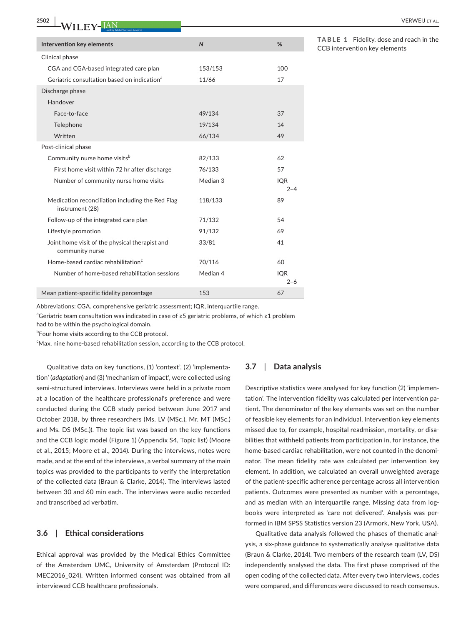| Leading Global Nursing Research                                     |              |                       |
|---------------------------------------------------------------------|--------------|-----------------------|
| Intervention key elements                                           | $\mathsf{N}$ | %                     |
| Clinical phase                                                      |              |                       |
| CGA and CGA-based integrated care plan                              | 153/153      | 100                   |
| Geriatric consultation based on indication <sup>a</sup>             | 11/66        | 17                    |
| Discharge phase                                                     |              |                       |
| Handover                                                            |              |                       |
| Face-to-face                                                        | 49/134       | 37                    |
| Telephone                                                           | 19/134       | 14                    |
| Written                                                             | 66/134       | 49                    |
| Post-clinical phase                                                 |              |                       |
| Community nurse home visits <sup>b</sup>                            | 82/133       | 62                    |
| First home visit within 72 hr after discharge                       | 76/133       | 57                    |
| Number of community nurse home visits                               | Median 3     | <b>IQR</b>            |
|                                                                     |              | $2 - 4$               |
| Medication reconciliation including the Red Flag<br>instrument (28) | 118/133      | 89                    |
| Follow-up of the integrated care plan                               | 71/132       | 54                    |
| Lifestyle promotion                                                 | 91/132       | 69                    |
| Joint home visit of the physical therapist and<br>community nurse   | 33/81        | 41                    |
| Home-based cardiac rehabilitation <sup>c</sup>                      | 70/116       | 60                    |
| Number of home-based rehabilitation sessions                        | Median 4     | <b>IQR</b><br>$2 - 6$ |
| Mean patient-specific fidelity percentage                           | 153          | 67                    |

**TABLE 1** Fidelity, dose and reach in the CCB intervention key elements

|  |  |  |  |  |  | Abbreviations: CGA, comprehensive geriatric assessment; IQR, interquartile range. |  |  |  |  |
|--|--|--|--|--|--|-----------------------------------------------------------------------------------|--|--|--|--|
|--|--|--|--|--|--|-----------------------------------------------------------------------------------|--|--|--|--|

<sup>a</sup>Geriatric team consultation was indicated in case of ≥5 geriatric problems, of which ≥1 problem had to be within the psychological domain.

*b***Four home visits according to the CCB protocol.** 

<sup>c</sup>Max. nine home-based rehabilitation session, according to the CCB protocol.

Qualitative data on key functions, (1) 'context', (2) 'implementation' (*adaptation*) and (3) 'mechanism of impact', were collected using semi-structured interviews. Interviews were held in a private room at a location of the healthcare professional's preference and were conducted during the CCB study period between June 2017 and October 2018, by three researchers (Ms. LV (MSc.), Mr. MT (MSc.) and Ms. DS (MSc.)). The topic list was based on the key functions and the CCB logic model (Figure 1) (Appendix S4, Topic list) (Moore et al., 2015; Moore et al., 2014). During the interviews, notes were made, and at the end of the interviews, a verbal summary of the main topics was provided to the participants to verify the interpretation of the collected data (Braun & Clarke, 2014). The interviews lasted between 30 and 60 min each. The interviews were audio recorded and transcribed ad verbatim.

## **3.6**  | **Ethical considerations**

Ethical approval was provided by the Medical Ethics Committee of the Amsterdam UMC, University of Amsterdam (Protocol ID: MEC2016 024). Written informed consent was obtained from all interviewed CCB healthcare professionals.

#### **3.7**  | **Data analysis**

Descriptive statistics were analysed for key function (2) 'implementation'. The intervention fidelity was calculated per intervention patient. The denominator of the key elements was set on the number of feasible key elements for an individual. Intervention key elements missed due to, for example, hospital readmission, mortality, or disabilities that withheld patients from participation in, for instance, the home-based cardiac rehabilitation, were not counted in the denominator. The mean fidelity rate was calculated per intervention key element. In addition, we calculated an overall unweighted average of the patient-specific adherence percentage across all intervention patients. Outcomes were presented as number with a percentage, and as median with an interquartile range. Missing data from logbooks were interpreted as 'care not delivered'. Analysis was performed in IBM SPSS Statistics version 23 (Armork, New York, USA).

Qualitative data analysis followed the phases of thematic analysis, a six-phase guidance to systematically analyse qualitative data (Braun & Clarke, 2014). Two members of the research team (LV, DS) independently analysed the data. The first phase comprised of the open coding of the collected data. After every two interviews, codes were compared, and differences were discussed to reach consensus.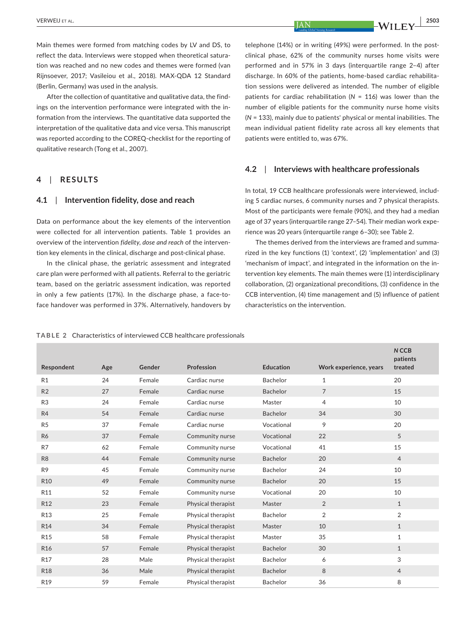Main themes were formed from matching codes by LV and DS, to reflect the data. Interviews were stopped when theoretical saturation was reached and no new codes and themes were formed (van Rijnsoever, 2017; Vasileiou et al., 2018). MAX-QDA 12 Standard (Berlin, Germany) was used in the analysis.

After the collection of quantitative and qualitative data, the findings on the intervention performance were integrated with the information from the interviews. The quantitative data supported the interpretation of the qualitative data and vice versa. This manuscript was reported according to the COREQ-checklist for the reporting of qualitative research (Tong et al., 2007).

## **4**  | **RESULTS**

## **4.1**  | **Intervention fidelity, dose and reach**

Data on performance about the key elements of the intervention were collected for all intervention patients. Table 1 provides an overview of the intervention *fidelity*, *dose and reach* of the intervention key elements in the clinical, discharge and post-clinical phase.

In the clinical phase, the geriatric assessment and integrated care plan were performed with all patients. Referral to the geriatric team, based on the geriatric assessment indication, was reported in only a few patients (17%). In the discharge phase, a face-toface handover was performed in 37%. Alternatively, handovers by

telephone (14%) or in writing (49%) were performed. In the postclinical phase, 62% of the community nurses home visits were performed and in 57% in 3 days (interquartile range 2–4) after discharge. In 60% of the patients, home-based cardiac rehabilitation sessions were delivered as intended. The number of eligible patients for cardiac rehabilitation (*N* = 116) was lower than the number of eligible patients for the community nurse home visits (*N* = 133), mainly due to patients' physical or mental inabilities. The mean individual patient fidelity rate across all key elements that patients were entitled to, was 67%.

## **4.2**  | **Interviews with healthcare professionals**

In total, 19 CCB healthcare professionals were interviewed, including 5 cardiac nurses, 6 community nurses and 7 physical therapists. Most of the participants were female (90%), and they had a median age of 37 years (interquartile range 27–54). Their median work experience was 20 years (interquartile range 6–30); see Table 2.

The themes derived from the interviews are framed and summarized in the key functions (1) 'context', (2) 'implementation' and (3) 'mechanism of impact', and integrated in the information on the intervention key elements. The main themes were (1) interdisciplinary collaboration, (2) organizational preconditions, (3) confidence in the CCB intervention, (4) time management and (5) influence of patient characteristics on the intervention.

|  |  |  | TABLE 2 Characteristics of interviewed CCB healthcare professionals |  |
|--|--|--|---------------------------------------------------------------------|--|
|--|--|--|---------------------------------------------------------------------|--|

| Respondent      | Age | Gender | Profession         | <b>Education</b> | Work experience, years | N CCB<br>patients<br>treated |
|-----------------|-----|--------|--------------------|------------------|------------------------|------------------------------|
| R1              | 24  | Female | Cardiac nurse      | <b>Bachelor</b>  | $\mathbf{1}$           | 20                           |
| R <sub>2</sub>  | 27  | Female | Cardiac nurse      | <b>Bachelor</b>  | $\overline{7}$         | 15                           |
| R <sub>3</sub>  | 24  | Female | Cardiac nurse      | Master           | $\overline{4}$         | 10                           |
| R <sub>4</sub>  | 54  | Female | Cardiac nurse      | <b>Bachelor</b>  | 34                     | 30                           |
| R <sub>5</sub>  | 37  | Female | Cardiac nurse      | Vocational       | 9                      | 20                           |
| <b>R6</b>       | 37  | Female | Community nurse    | Vocational       | 22                     | 5                            |
| R7              | 62  | Female | Community nurse    | Vocational       | 41                     | 15                           |
| R <sub>8</sub>  | 44  | Female | Community nurse    | <b>Bachelor</b>  | 20                     | $\overline{4}$               |
| R <sub>9</sub>  | 45  | Female | Community nurse    | <b>Bachelor</b>  | 24                     | 10                           |
| <b>R10</b>      | 49  | Female | Community nurse    | <b>Bachelor</b>  | 20                     | 15                           |
| R <sub>11</sub> | 52  | Female | Community nurse    | Vocational       | 20                     | 10                           |
| R <sub>12</sub> | 23  | Female | Physical therapist | Master           | $\overline{2}$         | $\mathbf{1}$                 |
| R <sub>13</sub> | 25  | Female | Physical therapist | Bachelor         | $\overline{2}$         | $\overline{2}$               |
| R <sub>14</sub> | 34  | Female | Physical therapist | Master           | 10                     | $\mathbf{1}$                 |
| R <sub>15</sub> | 58  | Female | Physical therapist | Master           | 35                     | $\mathbf{1}$                 |
| R <sub>16</sub> | 57  | Female | Physical therapist | Bachelor         | 30                     | $\mathbf{1}$                 |
| R17             | 28  | Male   | Physical therapist | Bachelor         | 6                      | 3                            |
| <b>R18</b>      | 36  | Male   | Physical therapist | <b>Bachelor</b>  | 8                      | $\overline{4}$               |
| R19             | 59  | Female | Physical therapist | <b>Bachelor</b>  | 36                     | 8                            |
|                 |     |        |                    |                  |                        |                              |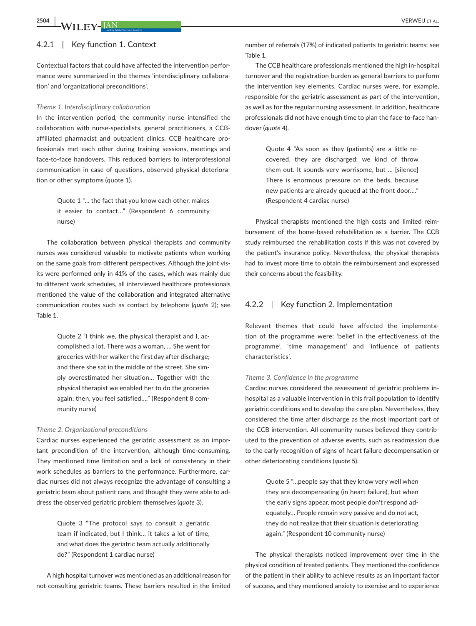## 4.2.1 | Key function 1. Context

Contextual factors that could have affected the intervention performance were summarized in the themes 'interdisciplinary collaboration' and 'organizational preconditions'.

#### *Theme 1. Interdisciplinary collaboration*

In the intervention period, the community nurse intensified the collaboration with nurse-specialists, general practitioners, a CCBaffiliated pharmacist and outpatient clinics. CCB healthcare professionals met each other during training sessions, meetings and face-to-face handovers. This reduced barriers to interprofessional communication in case of questions, observed physical deterioration or other symptoms (quote 1).

> Quote 1 "… the fact that you know each other, makes it easier to contact…" (Respondent 6 community nurse)

The collaboration between physical therapists and community nurses was considered valuable to motivate patients when working on the same goals from different perspectives. Although the joint visits were performed only in 41% of the cases, which was mainly due to different work schedules, all interviewed healthcare professionals mentioned the value of the collaboration and integrated alternative communication routes such as contact by telephone (*quote* 2); see Table 1.

> Quote 2 "I think we, the physical therapist and I, accomplished a lot. There was a woman, … She went for groceries with her walker the first day after discharge; and there she sat in the middle of the street. She simply overestimated her situation… Together with the physical therapist we enabled her to do the groceries again; then, you feel satisfied…." (Respondent 8 community nurse)

#### *Theme 2. Organizational preconditions*

Cardiac nurses experienced the geriatric assessment as an important precondition of the intervention, although time-consuming. They mentioned time limitation and a lack of consistency in their work schedules as barriers to the performance. Furthermore, cardiac nurses did not always recognize the advantage of consulting a geriatric team about patient care, and thought they were able to address the observed geriatric problem themselves (*quote* 3).

> Quote 3 "The protocol says to consult a geriatric team if indicated, but I think… it takes a lot of time, and what does the geriatric team actually additionally do?" (Respondent 1 cardiac nurse)

A high hospital turnover was mentioned as an additional reason for not consulting geriatric teams. These barriers resulted in the limited number of referrals (17%) of indicated patients to geriatric teams; see Table 1.

The CCB healthcare professionals mentioned the high in-hospital turnover and the registration burden as general barriers to perform the intervention key elements. Cardiac nurses were, for example, responsible for the geriatric assessment as part of the intervention, as well as for the regular nursing assessment. In addition, healthcare professionals did not have enough time to plan the face-to-face handover (*quote* 4).

> Quote 4 "As soon as they (patients) are a little recovered, they are discharged; we kind of throw them out. It sounds very worrisome, but … [silence] There is enormous pressure on the beds, because new patients are already queued at the front door…." (Respondent 4 cardiac nurse)

Physical therapists mentioned the high costs and limited reimbursement of the home-based rehabilitation as a barrier. The CCB study reimbursed the rehabilitation costs if this was not covered by the patient's insurance policy. Nevertheless, the physical therapists had to invest more time to obtain the reimbursement and expressed their concerns about the feasibility.

## 4.2.2 | Key function 2. Implementation

Relevant themes that could have affected the implementation of the programme were: 'belief in the effectiveness of the programme', 'time management' and 'influence of patients characteristics'.

#### *Theme 3. Confidence in the programme*

Cardiac nurses considered the assessment of geriatric problems inhospital as a valuable intervention in this frail population to identify geriatric conditions and to develop the care plan. Nevertheless, they considered the time after discharge as the most important part of the CCB intervention. All community nurses believed they contributed to the prevention of adverse events, such as readmission due to the early recognition of signs of heart failure decompensation or other deteriorating conditions (*quote* 5).

> Quote 5 "…people say that they know very well when they are decompensating (in heart failure), but when the early signs appear, most people don't respond adequately… People remain very passive and do not act, they do not realize that their situation is deteriorating again." (Respondent 10 community nurse)

The physical therapists noticed improvement over time in the physical condition of treated patients. They mentioned the confidence of the patient in their ability to achieve results as an important factor of success, and they mentioned anxiety to exercise and to experience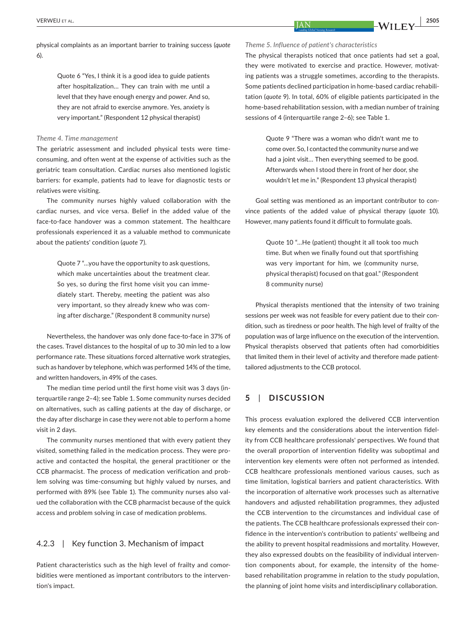physical complaints as an important barrier to training success (*quote* 6).

> Quote 6 "Yes, I think it is a good idea to guide patients after hospitalization… They can train with me until a level that they have enough energy and power. And so, they are not afraid to exercise anymore. Yes, anxiety is very important." (Respondent 12 physical therapist)

#### *Theme 4. Time management*

The geriatric assessment and included physical tests were timeconsuming, and often went at the expense of activities such as the geriatric team consultation. Cardiac nurses also mentioned logistic barriers: for example, patients had to leave for diagnostic tests or relatives were visiting.

The community nurses highly valued collaboration with the cardiac nurses, and vice versa. Belief in the added value of the face-to-face handover was a common statement. The healthcare professionals experienced it as a valuable method to communicate about the patients' condition (*quote* 7).

> Quote 7 "…you have the opportunity to ask questions, which make uncertainties about the treatment clear. So yes, so during the first home visit you can immediately start. Thereby, meeting the patient was also very important, so they already knew who was coming after discharge." (Respondent 8 community nurse)

Nevertheless, the handover was only done face-to-face in 37% of the cases. Travel distances to the hospital of up to 30 min led to a low performance rate. These situations forced alternative work strategies, such as handover by telephone, which was performed 14% of the time, and written handovers, in 49% of the cases.

The median time period until the first home visit was 3 days (interquartile range 2–4); see Table 1. Some community nurses decided on alternatives, such as calling patients at the day of discharge, or the day after discharge in case they were not able to perform a home visit in 2 days.

The community nurses mentioned that with every patient they visited, something failed in the medication process. They were proactive and contacted the hospital, the general practitioner or the CCB pharmacist. The process of medication verification and problem solving was time-consuming but highly valued by nurses, and performed with 89% (see Table 1). The community nurses also valued the collaboration with the CCB pharmacist because of the quick access and problem solving in case of medication problems.

#### 4.2.3 | Key function 3. Mechanism of impact

Patient characteristics such as the high level of frailty and comorbidities were mentioned as important contributors to the intervention's impact.

*Theme 5. Influence of patient's characteristics*

The physical therapists noticed that once patients had set a goal, they were motivated to exercise and practice. However, motivating patients was a struggle sometimes, according to the therapists. Some patients declined participation in home-based cardiac rehabilitation (*quote* 9). In total, 60% of eligible patients participated in the home-based rehabilitation session, with a median number of training sessions of 4 (interquartile range 2–6); see Table 1.

> Quote 9 "There was a woman who didn't want me to come over. So, I contacted the community nurse and we had a joint visit… Then everything seemed to be good. Afterwards when I stood there in front of her door, she wouldn't let me in." (Respondent 13 physical therapist)

Goal setting was mentioned as an important contributor to convince patients of the added value of physical therapy (*quote* 10). However, many patients found it difficult to formulate goals.

> Quote 10 "…He (patient) thought it all took too much time. But when we finally found out that sportfishing was very important for him, we (community nurse, physical therapist) focused on that goal." (Respondent 8 community nurse)

Physical therapists mentioned that the intensity of two training sessions per week was not feasible for every patient due to their condition, such as tiredness or poor health. The high level of frailty of the population was of large influence on the execution of the intervention. Physical therapists observed that patients often had comorbidities that limited them in their level of activity and therefore made patienttailored adjustments to the CCB protocol.

## **5**  | **DISCUSSION**

This process evaluation explored the delivered CCB intervention key elements and the considerations about the intervention fidelity from CCB healthcare professionals' perspectives. We found that the overall proportion of intervention fidelity was suboptimal and intervention key elements were often not performed as intended. CCB healthcare professionals mentioned various causes, such as time limitation, logistical barriers and patient characteristics. With the incorporation of alternative work processes such as alternative handovers and adjusted rehabilitation programmes, they adjusted the CCB intervention to the circumstances and individual case of the patients. The CCB healthcare professionals expressed their confidence in the intervention's contribution to patients' wellbeing and the ability to prevent hospital readmissions and mortality. However, they also expressed doubts on the feasibility of individual intervention components about, for example, the intensity of the homebased rehabilitation programme in relation to the study population, the planning of joint home visits and interdisciplinary collaboration.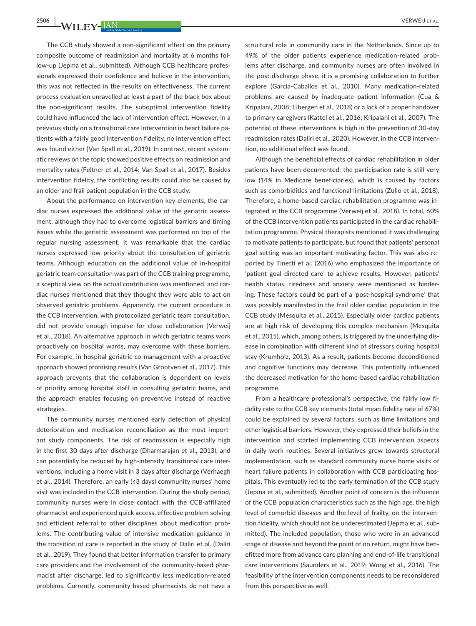**2506 <sup>|</sup>**  VERWEIJ et al.

The CCB study showed a non-significant effect on the primary composite outcome of readmission and mortality at 6 months follow-up (Jepma et al., submitted). Although CCB healthcare professionals expressed their confidence and believe in the intervention, this was not reflected in the results on effectiveness. The current process evaluation unravelled at least a part of the black box about the non-significant results. The suboptimal intervention fidelity could have influenced the lack of intervention effect. However, in a previous study on a transitional care intervention in heart failure patients with a fairly good intervention fidelity, no intervention effect was found either (Van Spall et al., 2019). In contrast, recent systematic reviews on the topic showed positive effects on readmission and mortality rates (Feltner et al., 2014; Van Spall et al., 2017). Besides intervention fidelity, the conflicting results could also be caused by an older and frail patient population in the CCB study.

About the performance on intervention key elements, the cardiac nurses expressed the additional value of the geriatric assessment, although they had to overcome logistical barriers and timing issues while the geriatric assessment was performed on top of the regular nursing assessment. It was remarkable that the cardiac nurses expressed low priority about the consultation of geriatric teams. Although education on the additional value of in-hospital geriatric team consultation was part of the CCB training programme, a sceptical view on the actual contribution was mentioned, and cardiac nurses mentioned that they thought they were able to act on observed geriatric problems. Apparently, the current procedure in the CCB intervention, with protocolized geriatric team consultation, did not provide enough impulse for close collaboration (Verweij et al., 2018). An alternative approach in which geriatric teams work proactively on hospital wards, may overcome with these barriers. For example, in-hospital geriatric co-management with a proactive approach showed promising results (Van Grootven et al., 2017). This approach prevents that the collaboration is dependent on levels of priority among hospital staff in consulting geriatric teams, and the approach enables focusing on preventive instead of reactive strategies.

The community nurses mentioned early detection of physical deterioration and medication reconciliation as the most important study components. The risk of readmission is especially high in the first 30 days after discharge (Dharmarajan et al., 2013), and can potentially be reduced by high-intensity transitional care interventions, including a home visit in 3 days after discharge (Verhaegh et al., 2014). Therefore, an early (≤3 days) community nurses' home visit was included in the CCB intervention. During the study period, community nurses were in close contact with the CCB-affiliated pharmacist and experienced quick access, effective problem solving and efficient referral to other disciplines about medication problems. The contributing value of intensive medication guidance in the transition of care is reported in the study of Daliri et al. (Daliri et al., 2019). They found that better information transfer to primary care providers and the involvement of the community-based pharmacist after discharge, led to significantly less medication-related problems. Currently, community-based pharmacists do not have a

structural role in community care in the Netherlands. Since up to 49% of the older patients experience medication-related problems after discharge, and community nurses are often involved in the post-discharge phase, it is a promising collaboration to further explore (Garcia-Caballos et al., 2010). Many medication-related problems are caused by inadequate patient information (Cua & Kripalani, 2008; Eibergen et al., 2018) or a lack of a proper handover to primary caregivers (Kattel et al., 2016; Kripalani et al., 2007). The potential of these interventions is high in the prevention of 30-day readmission rates (Daliri et al., 2020). However, in the CCB intervention, no additional effect was found.

Although the beneficial effects of cardiac rehabilitation in older patients have been documented, the participation rate is still very low (14% in Medicare beneficiaries), which is caused by factors such as comorbidities and functional limitations (Zullo et al., 2018). Therefore, a home-based cardiac rehabilitation programme was integrated in the CCB programme (Verweij et al., 2018). In total, 60% of the CCB intervention patients participated in the cardiac rehabilitation programme. Physical therapists mentioned it was challenging to motivate patients to participate, but found that patients' personal goal setting was an important motivating factor. This was also reported by Tinetti et al. (2016) who emphasized the importance of 'patient goal directed care' to achieve results. However, patients' health status, tiredness and anxiety were mentioned as hindering. These factors could be part of a 'post-hospital syndrome' that was possibly manifested in the frail older cardiac population in the CCB study (Mesquita et al., 2015). Especially older cardiac patients are at high risk of developing this complex mechanism (Mesquita et al., 2015), which, among others, is triggered by the underlying disease in combination with different kind of stressors during hospital stay (Krumholz, 2013). As a result, patients become deconditioned and cognitive functions may decrease. This potentially influenced the decreased motivation for the home-based cardiac rehabilitation programme.

From a healthcare professional's perspective, the fairly low fidelity rate to the CCB key elements (total mean fidelity rate of 67%) could be explained by several factors, such as time limitations and other logistical barriers. However, they expressed their beliefs in the intervention and started implementing CCB intervention aspects in daily work routines. Several initiatives grew towards structural implementation, such as standard community nurse home visits of heart failure patients in collaboration with CCB participating hospitals. This eventually led to the early termination of the CCB study (Jepma et al., submitted). Another point of concern is the influence of the CCB population characteristics such as the high age, the high level of comorbid diseases and the level of frailty, on the intervention fidelity, which should not be underestimated (Jepma et al., submitted). The included population, those who were in an advanced stage of disease and beyond the point of no return, might have benefitted more from advance care planning and end-of-life transitional care interventions (Saunders et al., 2019; Wong et al., 2016). The feasibility of the intervention components needs to be reconsidered from this perspective as well.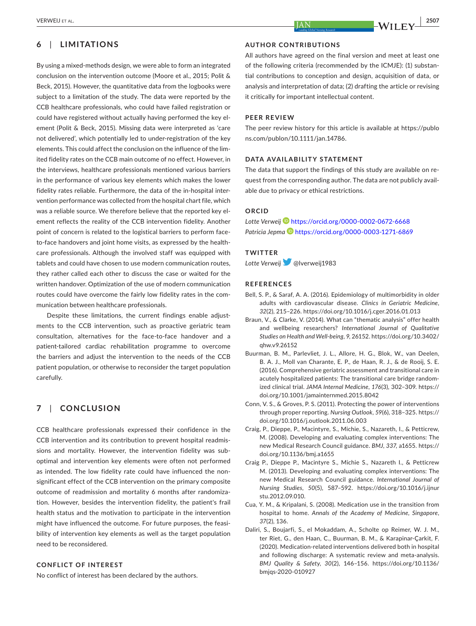## **6**  | **LIMITATIONS**

By using a mixed-methods design, we were able to form an integrated conclusion on the intervention outcome (Moore et al., 2015; Polit & Beck, 2015). However, the quantitative data from the logbooks were subject to a limitation of the study. The data were reported by the CCB healthcare professionals, who could have failed registration or could have registered without actually having performed the key element (Polit & Beck, 2015). Missing data were interpreted as 'care not delivered', which potentially led to under-registration of the key elements. This could affect the conclusion on the influence of the limited fidelity rates on the CCB main outcome of no effect. However, in the interviews, healthcare professionals mentioned various barriers in the performance of various key elements which makes the lower fidelity rates reliable. Furthermore, the data of the in-hospital intervention performance was collected from the hospital chart file, which was a reliable source. We therefore believe that the reported key element reflects the reality of the CCB intervention fidelity. Another point of concern is related to the logistical barriers to perform faceto-face handovers and joint home visits, as expressed by the healthcare professionals. Although the involved staff was equipped with tablets and could have chosen to use modern communication routes, they rather called each other to discuss the case or waited for the written handover. Optimization of the use of modern communication routes could have overcome the fairly low fidelity rates in the communication between healthcare professionals.

Despite these limitations, the current findings enable adjustments to the CCB intervention, such as proactive geriatric team consultation, alternatives for the face-to-face handover and a patient-tailored cardiac rehabilitation programme to overcome the barriers and adjust the intervention to the needs of the CCB patient population, or otherwise to reconsider the target population carefully.

## **7**  | **CONCLUSION**

CCB healthcare professionals expressed their confidence in the CCB intervention and its contribution to prevent hospital readmissions and mortality. However, the intervention fidelity was suboptimal and intervention key elements were often not performed as intended. The low fidelity rate could have influenced the nonsignificant effect of the CCB intervention on the primary composite outcome of readmission and mortality 6 months after randomization. However, besides the intervention fidelity, the patient's frail health status and the motivation to participate in the intervention might have influenced the outcome. For future purposes, the feasibility of intervention key elements as well as the target population need to be reconsidered.

## **CONFLICT OF INTEREST**

No conflict of interest has been declared by the authors.

## **AUTHOR CONTRIBUTIONS**

All authors have agreed on the final version and meet at least one of the following criteria (recommended by the ICMJE): (1) substantial contributions to conception and design, acquisition of data, or analysis and interpretation of data; (2) drafting the article or revising it critically for important intellectual content.

#### **PEER REVIEW**

The peer review history for this article is available at [https://publo](https://publons.com/publon/10.1111/jan.14786) [ns.com/publon/10.1111/jan.14786.](https://publons.com/publon/10.1111/jan.14786)

## **DATA AVAILABILITY STATEMENT**

The data that support the findings of this study are available on request from the corresponding author. The data are not publicly available due to privacy or ethical restrictions.

## **ORCID**

*Lotte Verweij* <https://orcid.org/0000-0002-0672-6668> *Patricia Jepma* <https://orcid.org/0000-0003-1271-6869>

## **TWITTER**

*Lotte Verweij*@lverweij1983

#### **REFERENCES**

- Bell, S. P., & Saraf, A. A. (2016). Epidemiology of multimorbidity in older adults with cardiovascular disease. *Clinics in Geriatric Medicine*, *32*(2), 215–226. <https://doi.org/10.1016/j.cger.2016.01.013>
- Braun, V., & Clarke, V. (2014). What can "thematic analysis" offer health and wellbeing researchers? *International Journal of Qualitative Studies on Health and Well-being*, *9*, 26152. [https://doi.org/10.3402/](https://doi.org/10.3402/qhw.v9.26152) [qhw.v9.26152](https://doi.org/10.3402/qhw.v9.26152)
- Buurman, B. M., Parlevliet, J. L., Allore, H. G., Blok, W., van Deelen, B. A. J., Moll van Charante, E. P., de Haan, R. J., & de Rooij, S. E. (2016). Comprehensive geriatric assessment and transitional care in acutely hospitalized patients: The transitional care bridge randomized clinical trial. *JAMA Internal Medicine*, *176*(3), 302–309. [https://](https://doi.org/10.1001/jamainternmed.2015.8042) [doi.org/10.1001/jamainternmed.2015.8042](https://doi.org/10.1001/jamainternmed.2015.8042)
- Conn, V. S., & Groves, P. S. (2011). Protecting the power of interventions through proper reporting. *Nursing Outlook*, *59*(6), 318–325. [https://](https://doi.org/10.1016/j.outlook.2011.06.003) [doi.org/10.1016/j.outlook.2011.06.003](https://doi.org/10.1016/j.outlook.2011.06.003)
- Craig, P., Dieppe, P., Macintyre, S., Michie, S., Nazareth, I., & Petticrew, M. (2008). Developing and evaluating complex interventions: The new Medical Research Council guidance. *BMJ*, *337*, a1655. [https://](https://doi.org/10.1136/bmj.a1655) [doi.org/10.1136/bmj.a1655](https://doi.org/10.1136/bmj.a1655)
- Craig P., Dieppe P., Macintyre S., Michie S., Nazareth I., & Petticrew M. (2013). Developing and evaluating complex interventions: The new Medical Research Council guidance. *International Journal of Nursing Studies*, *50*(5), 587–592. [https://doi.org/10.1016/j.ijnur](https://doi.org/10.1016/j.ijnurstu.2012.09.010) [stu.2012.09.010.](https://doi.org/10.1016/j.ijnurstu.2012.09.010)
- Cua, Y. M., & Kripalani, S. (2008). Medication use in the transition from hospital to home. *Annals of the Academy of Medicine, Singapore*, *37*(2), 136.
- Daliri, S., Boujarfi, S., el Mokaddam, A., Scholte op Reimer, W. J. M., ter Riet, G., den Haan, C., Buurman, B. M., & Karapinar-Çarkit, F. (2020). Medication-related interventions delivered both in hospital and following discharge: A systematic review and meta-analysis. *BMJ Quality & Safety*, *30*(2), 146–156. [https://doi.org/10.1136/](https://doi.org/10.1136/bmjqs-2020-010927) [bmjqs-2020-010927](https://doi.org/10.1136/bmjqs-2020-010927)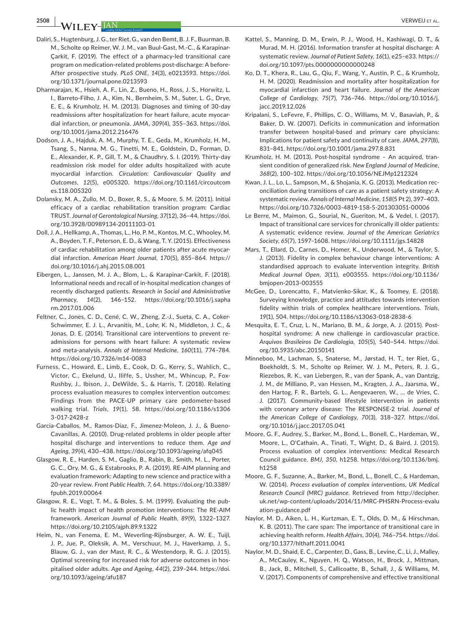**2508 <sup>|</sup>**  VERWEIJ et al.

- Daliri, S., Hugtenburg, J. G., ter Riet, G., van den Bemt, B. J. F., Buurman, B. M., Scholte op Reimer, W. J. M., van Buul-Gast, M.-C., & Karapinar-Çarkit, F. (2019). The effect of a pharmacy-led transitional care program on medication-related problems post-discharge: A before-After prospective study. *PLoS ONE*, *14*(3), e0213593. [https://doi.](https://doi.org/10.1371/journal.pone.0213593) [org/10.1371/journal.pone.0213593](https://doi.org/10.1371/journal.pone.0213593)
- Dharmarajan, K., Hsieh, A. F., Lin, Z., Bueno, H., Ross, J. S., Horwitz, L. I., Barreto-Filho, J. A., Kim, N., Bernheim, S. M., Suter, L. G., Drye, E. E., & Krumholz, H. M. (2013). Diagnoses and timing of 30-day readmissions after hospitalization for heart failure, acute myocardial infarction, or pneumonia. *JAMA*, *309*(4), 355–363. [https://doi.](https://doi.org/10.1001/jama.2012.216476) [org/10.1001/jama.2012.216476](https://doi.org/10.1001/jama.2012.216476)
- Dodson, J. A., Hajduk, A. M., Murphy, T. E., Geda, M., Krumholz, H. M., Tsang, S., Nanna, M. G., Tinetti, M. E., Goldstein, D., Forman, D. E., Alexander, K. P., Gill, T. M., & Chaudhry, S. I. (2019). Thirty-day readmission risk model for older adults hospitalized with acute myocardial infarction. *Circulation: Cardiovascular Quality and Outcomes*, *12*(5), e005320. [https://doi.org/10.1161/circoutcom](https://doi.org/10.1161/circoutcomes.118.005320) [es.118.005320](https://doi.org/10.1161/circoutcomes.118.005320)
- Dolansky, M. A., Zullo, M. D., Boxer, R. S., & Moore, S. M. (2011). Initial efficacy of a cardiac rehabilitation transition program: Cardiac TRUST. *Journal of Gerontological Nursing*, *37*(12), 36–44. [https://doi.](https://doi.org/10.3928/00989134-20111103-01) [org/10.3928/00989134-20111103-01](https://doi.org/10.3928/00989134-20111103-01)
- Doll, J. A., Hellkamp, A., Thomas, L., Ho, P. M., Kontos, M. C., Whooley, M. A., Boyden, T. F., Peterson, E. D., & Wang, T. Y. (2015). Effectiveness of cardiac rehabilitation among older patients after acute myocardial infarction. *American Heart Journal*, *170*(5), 855–864. [https://](https://doi.org/10.1016/j.ahj.2015.08.001) [doi.org/10.1016/j.ahj.2015.08.001](https://doi.org/10.1016/j.ahj.2015.08.001)
- Eibergen, L., Janssen, M. J. A., Blom, L., & Karapinar-Carkit, F. (2018). Informational needs and recall of in-hospital medication changes of recently discharged patients. *Research in Social and Administrative Pharmacy*, *14*(2), 146–152. [https://doi.org/10.1016/j.sapha](https://doi.org/10.1016/j.sapharm.2017.01.006) [rm.2017.01.006](https://doi.org/10.1016/j.sapharm.2017.01.006)
- Feltner, C., Jones, C. D., Cené, C. W., Zheng, Z.-J., Sueta, C. A., Coker-Schwimmer, E. J. L., Arvanitis, M., Lohr, K. N., Middleton, J. C., & Jonas, D. E. (2014). Transitional care interventions to prevent readmissions for persons with heart failure: A systematic review and meta-analysis. *Annals of Internal Medicine*, *160*(11), 774–784. <https://doi.org/10.7326/m14-0083>
- Furness, C., Howard, E., Limb, E., Cook, D. G., Kerry, S., Wahlich, C., Victor, C., Ekelund, U., Iliffe, S., Ussher, M., Whincup, P., Fox-Rushby, J., Ibison, J., DeWilde, S., & Harris, T. (2018). Relating process evaluation measures to complex intervention outcomes: Findings from the PACE-UP primary care pedometer-based walking trial. *Trials*, *19*(1), 58. [https://doi.org/10.1186/s1306](https://doi.org/10.1186/s13063-017-2428-z) [3-017-2428-z](https://doi.org/10.1186/s13063-017-2428-z)
- Garcia-Caballos, M., Ramos-Diaz, F., Jimenez-Moleon, J. J., & Bueno-Cavanillas, A. (2010). Drug-related problems in older people after hospital discharge and interventions to reduce them. *Age and Ageing*, *39*(4), 430–438.<https://doi.org/10.1093/ageing/afq045>
- Glasgow, R. E., Harden, S. M., Gaglio, B., Rabin, B., Smith, M. L., Porter, G. C., Ory, M. G., & Estabrooks, P. A. (2019). RE-AIM planning and evaluation framework: Adapting to new science and practice with a 20-year review. *Front Public Health*, *7*, 64. [https://doi.org/10.3389/](https://doi.org/10.3389/fpubh.2019.00064) [fpubh.2019.00064](https://doi.org/10.3389/fpubh.2019.00064)
- Glasgow, R. E., Vogt, T. M., & Boles, S. M. (1999). Evaluating the public health impact of health promotion interventions: The RE-AIM framework. *American Journal of Public Health*, *89*(9), 1322–1327. <https://doi.org/10.2105/ajph.89.9.1322>
- Heim, N., van Fenema, E. M., Weverling-Rijnsburger, A. W. E., Tuijl, J. P., Jue, P., Oleksik, A. M., Verschuur, M. J., Haverkamp, J. S., Blauw, G. J., van der Mast, R. C., & Westendorp, R. G. J. (2015). Optimal screening for increased risk for adverse outcomes in hospitalised older adults. *Age and Ageing*, *44*(2), 239–244. [https://doi.](https://doi.org/10.1093/ageing/afu187) [org/10.1093/ageing/afu187](https://doi.org/10.1093/ageing/afu187)
- Kattel, S., Manning, D. M., Erwin, P. J., Wood, H., Kashiwagi, D. T., & Murad, M. H. (2016). Information transfer at hospital discharge: A systematic review. *Journal of Patient Safety*, *16*(1), e25–e33. [https://](https://doi.org/10.1097/pts.0000000000000248) [doi.org/10.1097/pts.0000000000000248](https://doi.org/10.1097/pts.0000000000000248)
- Ko, D. T., Khera, R., Lau, G., Qiu, F., Wang, Y., Austin, P. C., & Krumholz, H. M. (2020). Readmission and mortality after hospitalization for myocardial infarction and heart failure. *Journal of the American College of Cardiology*, *75*(7), 736–746. [https://doi.org/10.1016/j.](https://doi.org/10.1016/j.jacc.2019.12.026) [jacc.2019.12.026](https://doi.org/10.1016/j.jacc.2019.12.026)
- Kripalani, S., LeFevre, F., Phillips, C. O., Williams, M. V., Basaviah, P., & Baker, D. W. (2007). Deficits in communication and information transfer between hospital-based and primary care physicians: Implications for patient safety and continuity of care. *JAMA*, *297*(8), 831–841. <https://doi.org/10.1001/jama.297.8.831>
- Krumholz, H. M. (2013). Post-hospital syndrome An acquired, transient condition of generalized risk. *New England Journal of Medicine*, *368*(2), 100–102. <https://doi.org/10.1056/NEJMp1212324>
- Kwan, J. L., Lo, L., Sampson, M., & Shojania, K. G. (2013). Medication reconciliation during transitions of care as a patient safety strategy: A systematic review. *Annals of Internal Medicine*, *158*(5 Pt 2), 397–403. <https://doi.org/10.7326/0003-4819-158-5-201303051-00006>
- Le Berre, M., Maimon, G., Sourial, N., Gueriton, M., & Vedel, I. (2017). Impact of transitional care services for chronically ill older patients: A systematic evidence review. *Journal of the American Geriatrics Society*, *65*(7), 1597–1608. <https://doi.org/10.1111/jgs.14828>
- Mars, T., Ellard, D., Carnes, D., Homer, K., Underwood, M., & Taylor, S. J. (2013). Fidelity in complex behaviour change interventions: A standardised approach to evaluate intervention integrity. *British Medical Journal Open*, *3*(11), e003555. [https://doi.org/10.1136/](https://doi.org/10.1136/bmjopen-2013-003555) [bmjopen-2013-003555](https://doi.org/10.1136/bmjopen-2013-003555)
- McGee, D., Lorencatto, F., Matvienko-Sikar, K., & Toomey, E. (2018). Surveying knowledge, practice and attitudes towards intervention fidelity within trials of complex healthcare interventions. *Trials*, *19*(1), 504.<https://doi.org/10.1186/s13063-018-2838-6>
- Mesquita, E. T., Cruz, L. N., Mariano, B. M., & Jorge, A. J. (2015). Posthospital syndrome: A new challenge in cardiovascular practice. *Arquivos Brasileiros De Cardiologia*, *105*(5), 540–544. [https://doi.](https://doi.org/10.5935/abc.20150141) [org/10.5935/abc.20150141](https://doi.org/10.5935/abc.20150141)
- Minneboo, M., Lachman, S., Snaterse, M., Jørstad, H. T., ter Riet, G., Boekholdt, S. M., Scholte op Reimer, W. J. M., Peters, R. J. G., Riezebos, R. K., van Liebergen, R., van der Spank, A., van Dantzig, J. M., de Milliano, P., van Hessen, M., Kragten, J. A., Jaarsma, W., den Hartog, F. R., Bartels, G. L., Aengevaeren, W., … de Vries, C. J. (2017). Community-based lifestyle intervention in patients with coronary artery disease: The RESPONSE-2 trial. *Journal of the American College of Cardiology*, *70*(3), 318–327. [https://doi.](https://doi.org/10.1016/j.jacc.2017.05.041) [org/10.1016/j.jacc.2017.05.041](https://doi.org/10.1016/j.jacc.2017.05.041)
- Moore, G. F., Audrey, S., Barker, M., Bond, L., Bonell, C., Hardeman, W., Moore, L., O'Cathain, A., Tinati, T., Wight, D., & Baird, J. (2015). Process evaluation of complex interventions: Medical Research Council guidance. *BMJ*, *350*, h1258. [https://doi.org/10.1136/bmj.](https://doi.org/10.1136/bmj.h1258) [h1258](https://doi.org/10.1136/bmj.h1258)
- Moore, G. F., Suzanne, A., Barker, M., Bond, L., Bonell, C., & Hardeman, W. (2014). *Process evaluation of complex interventions, UK Medical Research Council (MRC) guidance*. Retrieved from [http://decipher.](http://decipher.uk.net/wp-content/uploads/2014/11/MRC-PHSRN-Process-evaluation-guidance.pdf) [uk.net/wp-content/uploads/2014/11/MRC-PHSRN-Process-evalu](http://decipher.uk.net/wp-content/uploads/2014/11/MRC-PHSRN-Process-evaluation-guidance.pdf) [ation-guidance.pdf](http://decipher.uk.net/wp-content/uploads/2014/11/MRC-PHSRN-Process-evaluation-guidance.pdf)
- Naylor, M. D., Aiken, L. H., Kurtzman, E. T., Olds, D. M., & Hirschman, K. B. (2011). The care span: The importance of transitional care in achieving health reform. *Health Affairs*, *30*(4), 746–754. [https://doi.](https://doi.org/10.1377/hlthaff.2011.0041) [org/10.1377/hlthaff.2011.0041](https://doi.org/10.1377/hlthaff.2011.0041)
- Naylor, M. D., Shaid, E. C., Carpenter, D., Gass, B., Levine, C., Li, J., Malley, A., McCauley, K., Nguyen, H. Q., Watson, H., Brock, J., Mittman, B., Jack, B., Mitchell, S., Callicoatte, B., Schall, J., & Williams, M. V. (2017). Components of comprehensive and effective transitional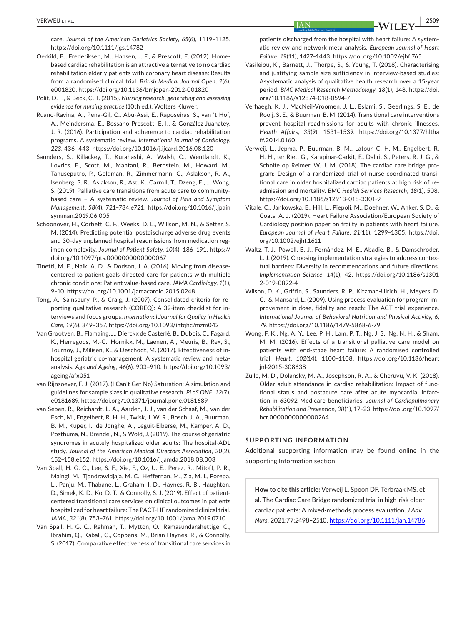care. *Journal of the American Geriatrics Society*, *65*(6), 1119–1125. <https://doi.org/10.1111/jgs.14782>

- Oerkild, B., Frederiksen, M., Hansen, J. F., & Prescott, E. (2012). Homebased cardiac rehabilitation is an attractive alternative to no cardiac rehabilitation elderly patients with coronary heart disease: Results from a randomised clinical trial. *British Medical Journal Open*, *2*(6), e001820.<https://doi.org/10.1136/bmjopen-2012-001820>
- Polit, D. F., & Beck, C. T. (2015). *Nursing research, generating and assessing evidence for nursing practice* (10th ed.). Wolters Kluwer.
- Ruano-Ravina, A., Pena-Gil, C., Abu-Assi, E., Raposeiras, S., van 't Hof, A., Meindersma, E., Bossano Prescott, E. I., & González-Juanatey, J. R. (2016). Participation and adherence to cardiac rehabilitation programs. A systematic review. *International Journal of Cardiology*, *223*, 436–443. <https://doi.org/10.1016/j.ijcard.2016.08.120>
- Saunders, S., Killackey, T., Kurahashi, A., Walsh, C., Wentlandt, K., Lovrics, E., Scott, M., Mahtani, R., Bernstein, M., Howard, M., Tanuseputro, P., Goldman, R., Zimmermann, C., Aslakson, R. A., Isenberg, S. R., Aslakson, R., Ast, K., Carroll, T., Dzeng, E., … Wong, S. (2019). Palliative care transitions from acute care to communitybased care – A systematic review. *Journal of Pain and Symptom Management*, *58*(4), 721–734.e721. [https://doi.org/10.1016/j.jpain](https://doi.org/10.1016/j.jpainsymman.2019.06.005) [symman.2019.06.005](https://doi.org/10.1016/j.jpainsymman.2019.06.005)
- Schoonover, H., Corbett, C. F., Weeks, D. L., Willson, M. N., & Setter, S. M. (2014). Predicting potential postdischarge adverse drug events and 30-day unplanned hospital readmissions from medication regimen complexity. *Journal of Patient Safety*, *10*(4), 186–191. [https://](https://doi.org/10.1097/pts.0000000000000067) [doi.org/10.1097/pts.0000000000000067](https://doi.org/10.1097/pts.0000000000000067)
- Tinetti, M. E., Naik, A. D., & Dodson, J. A. (2016). Moving from diseasecentered to patient goals-directed care for patients with multiple chronic conditions: Patient value-based care. *JAMA Cardiology*, *1*(1), 9–10. <https://doi.org/10.1001/jamacardio.2015.0248>
- Tong, A., Sainsbury, P., & Craig, J. (2007). Consolidated criteria for reporting qualitative research (COREQ): A 32-item checklist for interviews and focus groups. *International Journal for Quality in Health Care*, *19*(6), 349–357.<https://doi.org/10.1093/intqhc/mzm042>
- Van Grootven, B., Flamaing, J., Dierckx de Casterlé, B., Dubois, C., Fagard, K., Herregods, M.-C., Hornikx, M., Laenen, A., Meuris, B., Rex, S., Tournoy, J., Milisen, K., & Deschodt, M. (2017). Effectiveness of inhospital geriatric co-management: A systematic review and metaanalysis. *Age and Ageing*, *46*(6), 903–910. [https://doi.org/10.1093/](https://doi.org/10.1093/ageing/afx051) [ageing/afx051](https://doi.org/10.1093/ageing/afx051)
- van Rijnsoever, F. J. (2017). (I Can't Get No) Saturation: A simulation and guidelines for sample sizes in qualitative research. *PLoS ONE*, *12*(7), e0181689. <https://doi.org/10.1371/journal.pone.0181689>
- van Seben, R., Reichardt, L. A., Aarden, J. J., van der Schaaf, M., van der Esch, M., Engelbert, R. H. H., Twisk, J. W. R., Bosch, J. A., Buurman, B. M., Kuper, I., de Jonghe, A., Leguit-Elberse, M., Kamper, A. D., Posthuma, N., Brendel, N., & Wold, J. (2019). The course of geriatric syndromes in acutely hospitalized older adults: The hospital-ADL study. *Journal of the American Medical Directors Association*, *20*(2), 152–158.e152. <https://doi.org/10.1016/j.jamda.2018.08.003>
- Van Spall, H. G. C., Lee, S. F., Xie, F., Oz, U. E., Perez, R., Mitoff, P. R., Maingi, M., Tjandrawidjaja, M. C., Heffernan, M., Zia, M. I., Porepa, L., Panju, M., Thabane, L., Graham, I. D., Haynes, R. B., Haughton, D., Simek, K. D., Ko, D. T., & Connolly, S. J. (2019). Effect of patientcentered transitional care services on clinical outcomes in patients hospitalized for heart failure: The PACT-HF randomized clinical trial. *JAMA*, *321*(8), 753–761.<https://doi.org/10.1001/jama.2019.0710>
- Van Spall, H. G. C., Rahman, T., Mytton, O., Ramasundarahettige, C., Ibrahim, Q., Kabali, C., Coppens, M., Brian Haynes, R., & Connolly, S. (2017). Comparative effectiveness of transitional care services in

patients discharged from the hospital with heart failure: A systematic review and network meta-analysis. *European Journal of Heart Failure*, *19*(11), 1427–1443. <https://doi.org/10.1002/ejhf.765>

- Vasileiou, K., Barnett, J., Thorpe, S., & Young, T. (2018). Characterising and justifying sample size sufficiency in interview-based studies: Asystematic analysis of qualitative health research over a 15-year period. *BMC Medical Research Methodology*, *18*(1), 148. [https://doi.](https://doi.org/10.1186/s12874-018-0594-7) [org/10.1186/s12874-018-0594-7](https://doi.org/10.1186/s12874-018-0594-7)
- Verhaegh, K. J., MacNeil-Vroomen, J. L., Eslami, S., Geerlings, S. E., de Rooij, S. E., & Buurman, B. M. (2014). Transitional care interventions prevent hospital readmissions for adults with chronic illnesses. *Health Affairs*, *33*(9), 1531–1539. [https://doi.org/10.1377/hltha](https://doi.org/10.1377/hlthaff.2014.0160) [ff.2014.0160](https://doi.org/10.1377/hlthaff.2014.0160)
- Verweij, L., Jepma, P., Buurman, B. M., Latour, C. H. M., Engelbert, R. H. H., ter Riet, G., Karapinar-Çarkit, F., Daliri, S., Peters, R. J. G., & Scholte op Reimer, W. J. M. (2018). The cardiac care bridge program: Design of a randomized trial of nurse-coordinated transitional care in older hospitalized cardiac patients at high risk of readmission and mortality. *BMC Health Services Research*, *18*(1), 508. <https://doi.org/10.1186/s12913-018-3301-9>
- Vitale, C., Jankowska, E., Hill, L., Piepoli, M., Doehner, W., Anker, S. D., & Coats, A. J. (2019). Heart Failure Association/European Society of Cardiology position paper on frailty in patients with heart failure. *European Journal of Heart Failure*, *21*(11), 1299–1305. [https://doi.](https://doi.org/10.1002/ejhf.1611) [org/10.1002/ejhf.1611](https://doi.org/10.1002/ejhf.1611)
- Waltz, T. J., Powell, B. J., Fernández, M. E., Abadie, B., & Damschroder, L. J. (2019). Choosing implementation strategies to address contextual barriers: Diversity in recommendations and future directions. *Implementation Science*, *14*(1), 42. [https://doi.org/10.1186/s1301](https://doi.org/10.1186/s13012-019-0892-4) [2-019-0892-4](https://doi.org/10.1186/s13012-019-0892-4)
- Wilson, D. K., Griffin, S., Saunders, R. P., Kitzman-Ulrich, H., Meyers, D. C., & Mansard, L. (2009). Using process evaluation for program improvement in dose, fidelity and reach: The ACT trial experience. *International Journal of Behavioral Nutrition and Physical Activity*, *6*, 79. <https://doi.org/10.1186/1479-5868-6-79>
- Wong, F. K., Ng, A. Y., Lee, P. H., Lam, P. T., Ng, J. S., Ng, N. H., & Sham, M. M. (2016). Effects of a transitional palliative care model on patients with end-stage heart failure: A randomised controlled trial. *Heart*, *102*(14), 1100–1108. [https://doi.org/10.1136/heart](https://doi.org/10.1136/heartjnl-2015-308638) [jnl-2015-308638](https://doi.org/10.1136/heartjnl-2015-308638)
- Zullo, M. D., Dolansky, M. A., Josephson, R. A., & Cheruvu, V. K. (2018). Older adult attendance in cardiac rehabilitation: Impact of functional status and postacute care after acute myocardial infarction in 63092 Medicare beneficiaries. *Journal of Cardiopulmonary Rehabilitation and Prevention*, *38*(1), 17–23. [https://doi.org/10.1097/](https://doi.org/10.1097/hcr.0000000000000264) [hcr.0000000000000264](https://doi.org/10.1097/hcr.0000000000000264)

#### **SUPPORTING INFORMATION**

Additional supporting information may be found online in the Supporting Information section.

**How to cite this article:** Verweij L, Spoon DF, Terbraak MS, et al. The Cardiac Care Bridge randomized trial in high-risk older cardiac patients: A mixed-methods process evaluation. *J Adv Nurs*. 2021;77:2498–2510. <https://doi.org/10.1111/jan.14786>